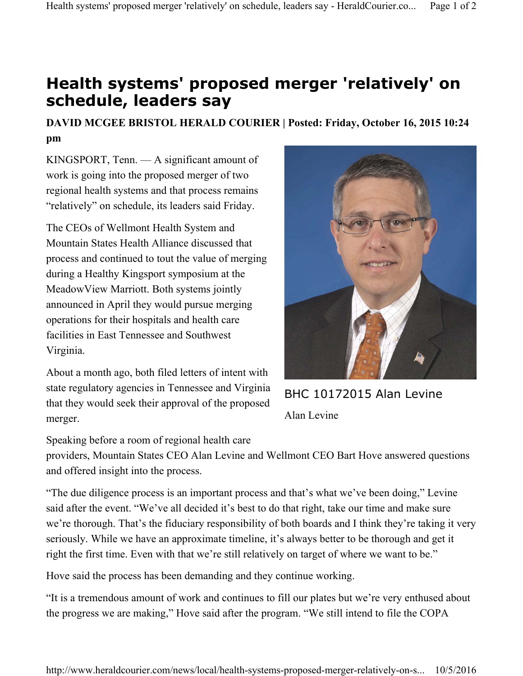## **Health systems' proposed merger 'relatively' on schedule, leaders say**

## **DAVID MCGEE BRISTOL HERALD COURIER | Posted: Friday, October 16, 2015 10:24 pm**

KINGSPORT, Tenn. — A significant amount of work is going into the proposed merger of two regional health systems and that process remains "relatively" on schedule, its leaders said Friday.

The CEOs of Wellmont Health System and Mountain States Health Alliance discussed that process and continued to tout the value of merging during a Healthy Kingsport symposium at the MeadowView Marriott. Both systems jointly announced in April they would pursue merging operations for their hospitals and health care facilities in East Tennessee and Southwest Virginia.

About a month ago, both filed letters of intent with state regulatory agencies in Tennessee and Virginia that they would seek their approval of the proposed merger.



BHC 10172015 Alan Levine Alan Levine

Speaking before a room of regional health care

providers, Mountain States CEO Alan Levine and Wellmont CEO Bart Hove answered questions and offered insight into the process.

"The due diligence process is an important process and that's what we've been doing," Levine said after the event. "We've all decided it's best to do that right, take our time and make sure we're thorough. That's the fiduciary responsibility of both boards and I think they're taking it very seriously. While we have an approximate timeline, it's always better to be thorough and get it right the first time. Even with that we're still relatively on target of where we want to be."

Hove said the process has been demanding and they continue working.

"It is a tremendous amount of work and continues to fill our plates but we're very enthused about the progress we are making," Hove said after the program. "We still intend to file the COPA